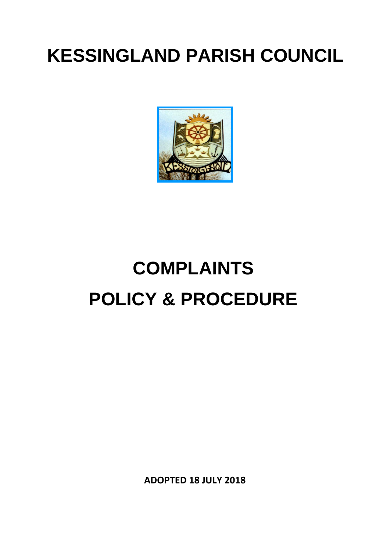# **KESSINGLAND PARISH COUNCIL**



# **COMPLAINTS POLICY & PROCEDURE**

**ADOPTED 18 JULY 2018**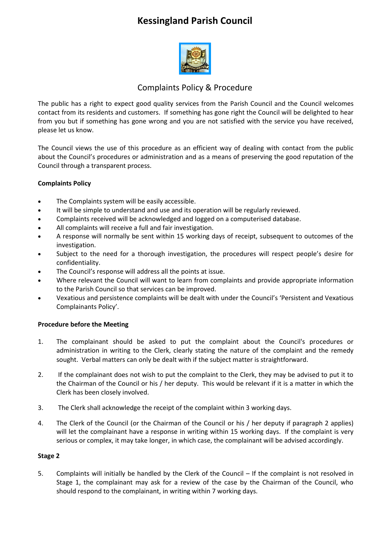## **Kessingland Parish Council**



### Complaints Policy & Procedure

The public has a right to expect good quality services from the Parish Council and the Council welcomes contact from its residents and customers. If something has gone right the Council will be delighted to hear from you but if something has gone wrong and you are not satisfied with the service you have received, please let us know.

The Council views the use of this procedure as an efficient way of dealing with contact from the public about the Council's procedures or administration and as a means of preserving the good reputation of the Council through a transparent process.

#### **Complaints Policy**

- The Complaints system will be easily accessible.
- It will be simple to understand and use and its operation will be regularly reviewed.
- Complaints received will be acknowledged and logged on a computerised database.
- All complaints will receive a full and fair investigation.
- A response will normally be sent within 15 working days of receipt, subsequent to outcomes of the investigation.
- Subject to the need for a thorough investigation, the procedures will respect people's desire for confidentiality.
- The Council's response will address all the points at issue.
- Where relevant the Council will want to learn from complaints and provide appropriate information to the Parish Council so that services can be improved.
- Vexatious and persistence complaints will be dealt with under the Council's 'Persistent and Vexatious Complainants Policy'.

#### **Procedure before the Meeting**

- 1. The complainant should be asked to put the complaint about the Council's procedures or administration in writing to the Clerk, clearly stating the nature of the complaint and the remedy sought. Verbal matters can only be dealt with if the subject matter is straightforward.
- 2. If the complainant does not wish to put the complaint to the Clerk, they may be advised to put it to the Chairman of the Council or his / her deputy. This would be relevant if it is a matter in which the Clerk has been closely involved.
- 3. The Clerk shall acknowledge the receipt of the complaint within 3 working days.
- 4. The Clerk of the Council (or the Chairman of the Council or his / her deputy if paragraph 2 applies) will let the complainant have a response in writing within 15 working days. If the complaint is very serious or complex, it may take longer, in which case, the complainant will be advised accordingly.

#### **Stage 2**

5. Complaints will initially be handled by the Clerk of the Council – If the complaint is not resolved in Stage 1, the complainant may ask for a review of the case by the Chairman of the Council, who should respond to the complainant, in writing within 7 working days.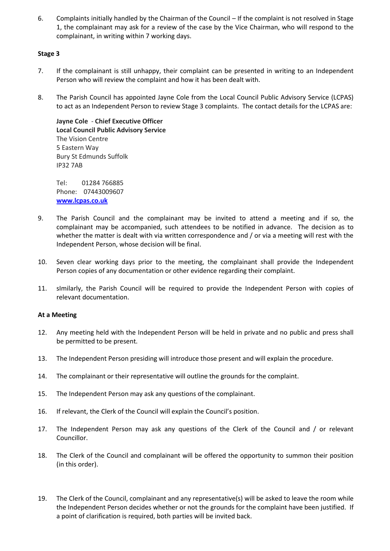6. Complaints initially handled by the Chairman of the Council – If the complaint is not resolved in Stage 1, the complainant may ask for a review of the case by the Vice Chairman, who will respond to the complainant, in writing within 7 working days.

#### **Stage 3**

- 7. If the complainant is still unhappy, their complaint can be presented in writing to an Independent Person who will review the complaint and how it has been dealt with.
- 8. The Parish Council has appointed Jayne Cole from the Local Council Public Advisory Service (LCPAS) to act as an Independent Person to review Stage 3 complaints. The contact details for the LCPAS are:

**Jayne Cole** - **Chief Executive Officer Local Council Public Advisory Service** The Vision Centre 5 Eastern Way Bury St Edmunds Suffolk IP32 7AB

Tel: 01284 766885 Phone: 07443009607 **[www.lcpas.co.uk](http://www.lcpas.co.uk/)**

- 9. The Parish Council and the complainant may be invited to attend a meeting and if so, the complainant may be accompanied, such attendees to be notified in advance. The decision as to whether the matter is dealt with via written correspondence and / or via a meeting will rest with the Independent Person, whose decision will be final.
- 10. Seven clear working days prior to the meeting, the complainant shall provide the Independent Person copies of any documentation or other evidence regarding their complaint.
- 11. sImilarly, the Parish Council will be required to provide the Independent Person with copies of relevant documentation.

#### **At a Meeting**

- 12. Any meeting held with the Independent Person will be held in private and no public and press shall be permitted to be present.
- 13. The Independent Person presiding will introduce those present and will explain the procedure.
- 14. The complainant or their representative will outline the grounds for the complaint.
- 15. The Independent Person may ask any questions of the complainant.
- 16. If relevant, the Clerk of the Council will explain the Council's position.
- 17. The Independent Person may ask any questions of the Clerk of the Council and / or relevant Councillor.
- 18. The Clerk of the Council and complainant will be offered the opportunity to summon their position (in this order).
- 19. The Clerk of the Council, complainant and any representative(s) will be asked to leave the room while the Independent Person decides whether or not the grounds for the complaint have been justified. If a point of clarification is required, both parties will be invited back.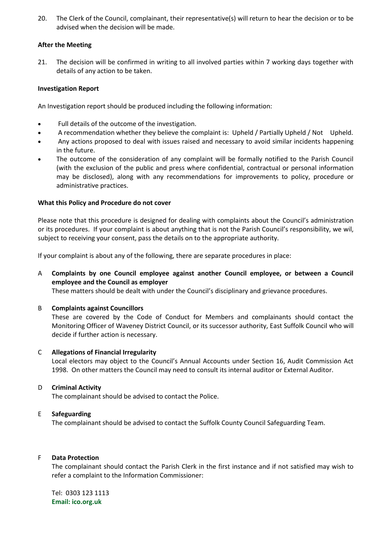20. The Clerk of the Council, complainant, their representative(s) will return to hear the decision or to be advised when the decision will be made.

#### **After the Meeting**

21. The decision will be confirmed in writing to all involved parties within 7 working days together with details of any action to be taken.

#### **Investigation Report**

An Investigation report should be produced including the following information:

- Full details of the outcome of the investigation.
- A recommendation whether they believe the complaint is: Upheld / Partially Upheld / Not Upheld.
- Any actions proposed to deal with issues raised and necessary to avoid similar incidents happening in the future.
- The outcome of the consideration of any complaint will be formally notified to the Parish Council (with the exclusion of the public and press where confidential, contractual or personal information may be disclosed), along with any recommendations for improvements to policy, procedure or administrative practices.

#### **What this Policy and Procedure do not cover**

Please note that this procedure is designed for dealing with complaints about the Council's administration or its procedures. If your complaint is about anything that is not the Parish Council's responsibility, we wil, subject to receiving your consent, pass the details on to the appropriate authority.

If your complaint is about any of the following, there are separate procedures in place:

#### A **Complaints by one Council employee against another Council employee, or between a Council employee and the Council as employer**

These matters should be dealt with under the Council's disciplinary and grievance procedures.

#### B **Complaints against Councillors**

These are covered by the Code of Conduct for Members and complainants should contact the Monitoring Officer of Waveney District Council, or its successor authority, East Suffolk Council who will decide if further action is necessary.

#### C **Allegations of Financial Irregularity**

Local electors may object to the Council's Annual Accounts under Section 16, Audit Commission Act 1998. On other matters the Council may need to consult its internal auditor or External Auditor.

#### D **Criminal Activity**

The complainant should be advised to contact the Police.

#### E **Safeguarding**

The complainant should be advised to contact the Suffolk County Council Safeguarding Team.

#### F **Data Protection**

The complainant should contact the Parish Clerk in the first instance and if not satisfied may wish to refer a complaint to the Information Commissioner:

Tel: 0303 123 1113 **Email: ico.org.uk**